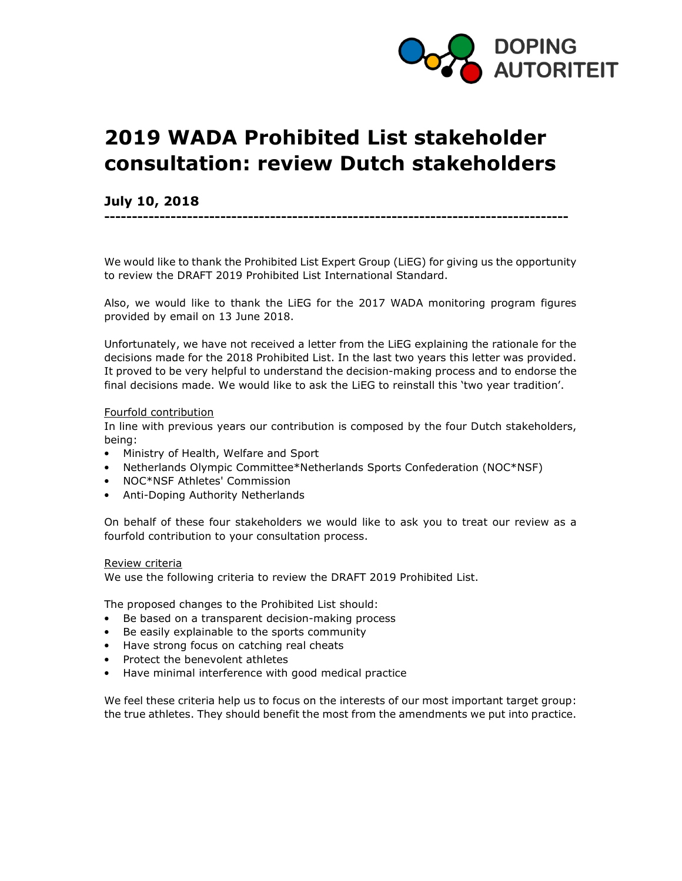

# 2019 WADA Prohibited List stakeholder consultation: review Dutch stakeholders

# July 10, 2018

We would like to thank the Prohibited List Expert Group (LiEG) for giving us the opportunity to review the DRAFT 2019 Prohibited List International Standard.

------------------------------------------------------------------------------------

Also, we would like to thank the LiEG for the 2017 WADA monitoring program figures provided by email on 13 June 2018.

Unfortunately, we have not received a letter from the LiEG explaining the rationale for the decisions made for the 2018 Prohibited List. In the last two years this letter was provided. It proved to be very helpful to understand the decision-making process and to endorse the final decisions made. We would like to ask the LiEG to reinstall this 'two year tradition'.

#### Fourfold contribution

In line with previous years our contribution is composed by the four Dutch stakeholders, being:

- Ministry of Health, Welfare and Sport
- Netherlands Olympic Committee\*Netherlands Sports Confederation (NOC\*NSF)
- NOC\*NSF Athletes' Commission
- Anti-Doping Authority Netherlands

On behalf of these four stakeholders we would like to ask you to treat our review as a fourfold contribution to your consultation process.

#### Review criteria

We use the following criteria to review the DRAFT 2019 Prohibited List.

The proposed changes to the Prohibited List should:

- Be based on a transparent decision-making process
- Be easily explainable to the sports community
- Have strong focus on catching real cheats
- Protect the benevolent athletes
- Have minimal interference with good medical practice

We feel these criteria help us to focus on the interests of our most important target group: the true athletes. They should benefit the most from the amendments we put into practice.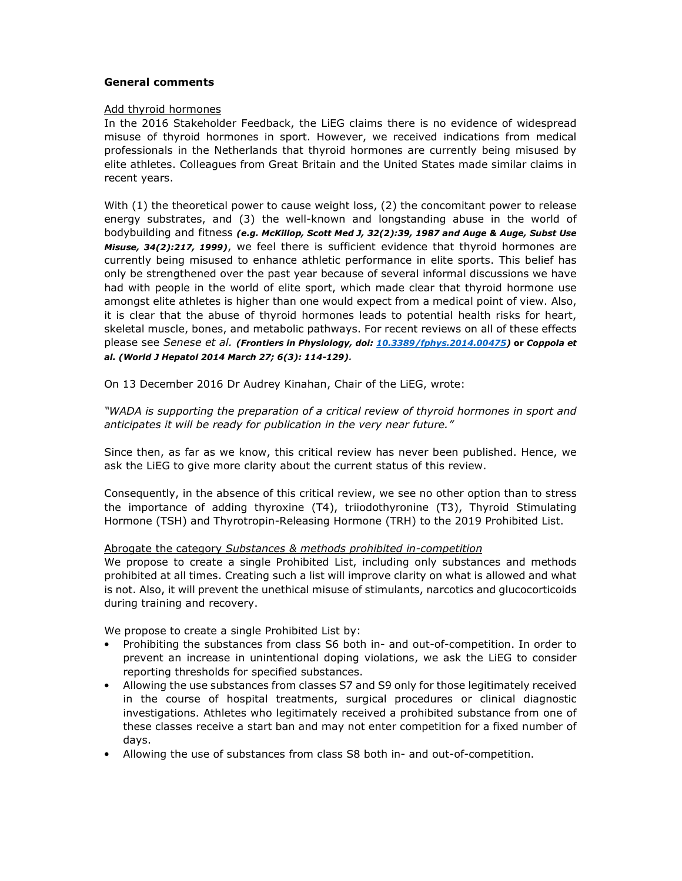#### General comments

#### Add thyroid hormones

In the 2016 Stakeholder Feedback, the LiEG claims there is no evidence of widespread misuse of thyroid hormones in sport. However, we received indications from medical professionals in the Netherlands that thyroid hormones are currently being misused by elite athletes. Colleagues from Great Britain and the United States made similar claims in recent years.

With (1) the theoretical power to cause weight loss, (2) the concomitant power to release energy substrates, and (3) the well-known and longstanding abuse in the world of bodybuilding and fitness (e.g. McKillop, Scott Med J, 32(2):39, 1987 and Auge & Auge, Subst Use Misuse, 34(2):217, 1999), we feel there is sufficient evidence that thyroid hormones are currently being misused to enhance athletic performance in elite sports. This belief has only be strengthened over the past year because of several informal discussions we have had with people in the world of elite sport, which made clear that thyroid hormone use amongst elite athletes is higher than one would expect from a medical point of view. Also, it is clear that the abuse of thyroid hormones leads to potential health risks for heart, skeletal muscle, bones, and metabolic pathways. For recent reviews on all of these effects please see Senese et al. (Frontiers in Physiology, doi: 10.3389/fphys.2014.00475) or Coppola et al. (World J Hepatol 2014 March 27; 6(3): 114-129).

On 13 December 2016 Dr Audrey Kinahan, Chair of the LiEG, wrote:

"WADA is supporting the preparation of a critical review of thyroid hormones in sport and anticipates it will be ready for publication in the very near future."

Since then, as far as we know, this critical review has never been published. Hence, we ask the LiEG to give more clarity about the current status of this review.

Consequently, in the absence of this critical review, we see no other option than to stress the importance of adding thyroxine (T4), triiodothyronine (T3), Thyroid Stimulating Hormone (TSH) and Thyrotropin-Releasing Hormone (TRH) to the 2019 Prohibited List.

#### Abrogate the category Substances & methods prohibited in-competition

We propose to create a single Prohibited List, including only substances and methods prohibited at all times. Creating such a list will improve clarity on what is allowed and what is not. Also, it will prevent the unethical misuse of stimulants, narcotics and glucocorticoids during training and recovery.

We propose to create a single Prohibited List by:

- Prohibiting the substances from class S6 both in- and out-of-competition. In order to prevent an increase in unintentional doping violations, we ask the LiEG to consider reporting thresholds for specified substances.
- Allowing the use substances from classes S7 and S9 only for those legitimately received in the course of hospital treatments, surgical procedures or clinical diagnostic investigations. Athletes who legitimately received a prohibited substance from one of these classes receive a start ban and may not enter competition for a fixed number of days.
- Allowing the use of substances from class S8 both in- and out-of-competition.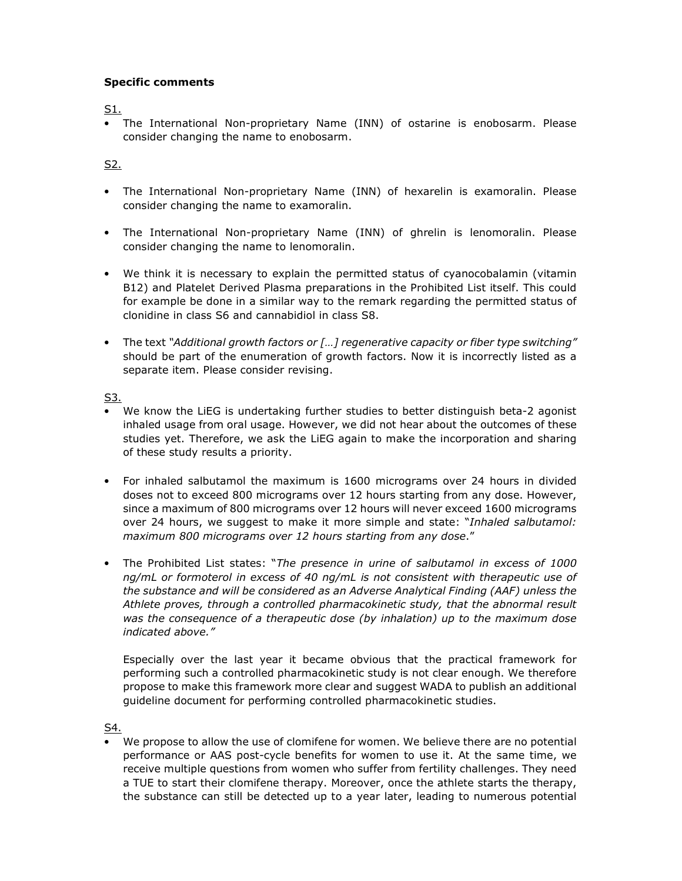### Specific comments

S1.

• The International Non-proprietary Name (INN) of ostarine is enobosarm. Please consider changing the name to enobosarm.

## S2.

- The International Non-proprietary Name (INN) of hexarelin is examoralin. Please consider changing the name to examoralin.
- The International Non-proprietary Name (INN) of ghrelin is lenomoralin. Please consider changing the name to lenomoralin.
- We think it is necessary to explain the permitted status of cyanocobalamin (vitamin B12) and Platelet Derived Plasma preparations in the Prohibited List itself. This could for example be done in a similar way to the remark regarding the permitted status of clonidine in class S6 and cannabidiol in class S8.
- The text "Additional growth factors or [...] regenerative capacity or fiber type switching" should be part of the enumeration of growth factors. Now it is incorrectly listed as a separate item. Please consider revising.

S3.

- We know the LiEG is undertaking further studies to better distinguish beta-2 agonist inhaled usage from oral usage. However, we did not hear about the outcomes of these studies yet. Therefore, we ask the LiEG again to make the incorporation and sharing of these study results a priority.
- For inhaled salbutamol the maximum is 1600 micrograms over 24 hours in divided doses not to exceed 800 micrograms over 12 hours starting from any dose. However, since a maximum of 800 micrograms over 12 hours will never exceed 1600 micrograms over 24 hours, we suggest to make it more simple and state: "Inhaled salbutamol: maximum 800 micrograms over 12 hours starting from any dose."
- The Prohibited List states: "The presence in urine of salbutamol in excess of 1000 ng/mL or formoterol in excess of 40 ng/mL is not consistent with therapeutic use of the substance and will be considered as an Adverse Analytical Finding (AAF) unless the Athlete proves, through a controlled pharmacokinetic study, that the abnormal result was the consequence of a therapeutic dose (by inhalation) up to the maximum dose indicated above."

Especially over the last year it became obvious that the practical framework for performing such a controlled pharmacokinetic study is not clear enough. We therefore propose to make this framework more clear and suggest WADA to publish an additional guideline document for performing controlled pharmacokinetic studies.

S4.

• We propose to allow the use of clomifene for women. We believe there are no potential performance or AAS post-cycle benefits for women to use it. At the same time, we receive multiple questions from women who suffer from fertility challenges. They need a TUE to start their clomifene therapy. Moreover, once the athlete starts the therapy, the substance can still be detected up to a year later, leading to numerous potential